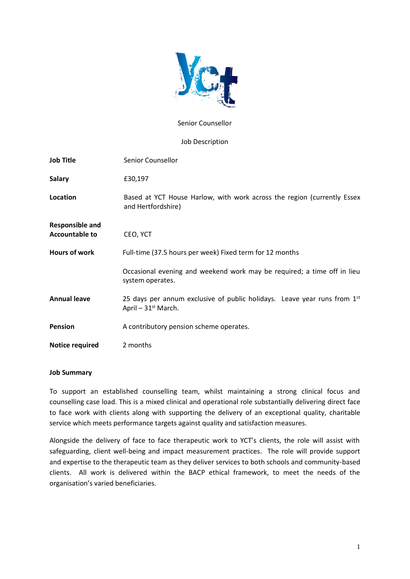

# Senior Counsellor

# Job Description

| <b>Job Title</b>                                | Senior Counsellor                                                                                |
|-------------------------------------------------|--------------------------------------------------------------------------------------------------|
| <b>Salary</b>                                   | £30,197                                                                                          |
| Location                                        | Based at YCT House Harlow, with work across the region (currently Essex<br>and Hertfordshire)    |
| <b>Responsible and</b><br><b>Accountable to</b> | CEO, YCT                                                                                         |
| <b>Hours of work</b>                            | Full-time (37.5 hours per week) Fixed term for 12 months                                         |
|                                                 | Occasional evening and weekend work may be required; a time off in lieu<br>system operates.      |
| <b>Annual leave</b>                             | 25 days per annum exclusive of public holidays. Leave year runs from 1st<br>April $-31st$ March. |
| <b>Pension</b>                                  | A contributory pension scheme operates.                                                          |
| <b>Notice required</b>                          | 2 months                                                                                         |

# **Job Summary**

To support an established counselling team, whilst maintaining a strong clinical focus and counselling case load. This is a mixed clinical and operational role substantially delivering direct face to face work with clients along with supporting the delivery of an exceptional quality, charitable service which meets performance targets against quality and satisfaction measures.

Alongside the delivery of face to face therapeutic work to YCT's clients, the role will assist with safeguarding, client well-being and impact measurement practices. The role will provide support and expertise to the therapeutic team as they deliver services to both schools and community-based clients. All work is delivered within the BACP ethical framework, to meet the needs of the organisation's varied beneficiaries.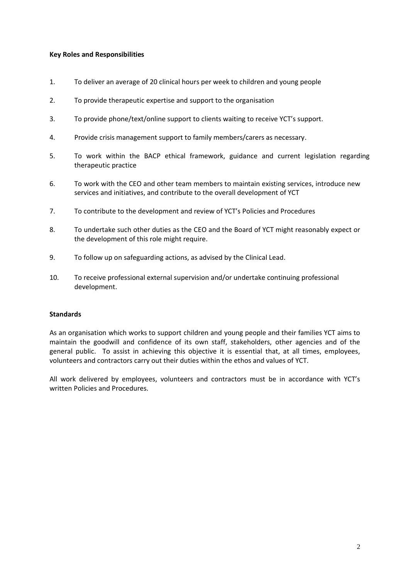# **Key Roles and Responsibilities**

- 1. To deliver an average of 20 clinical hours per week to children and young people
- 2. To provide therapeutic expertise and support to the organisation
- 3. To provide phone/text/online support to clients waiting to receive YCT's support.
- 4. Provide crisis management support to family members/carers as necessary.
- 5. To work within the BACP ethical framework, guidance and current legislation regarding therapeutic practice
- 6. To work with the CEO and other team members to maintain existing services, introduce new services and initiatives, and contribute to the overall development of YCT
- 7. To contribute to the development and review of YCT's Policies and Procedures
- 8. To undertake such other duties as the CEO and the Board of YCT might reasonably expect or the development of this role might require.
- 9. To follow up on safeguarding actions, as advised by the Clinical Lead.
- 10. To receive professional external supervision and/or undertake continuing professional development.

# **Standards**

As an organisation which works to support children and young people and their families YCT aims to maintain the goodwill and confidence of its own staff, stakeholders, other agencies and of the general public. To assist in achieving this objective it is essential that, at all times, employees, volunteers and contractors carry out their duties within the ethos and values of YCT.

All work delivered by employees, volunteers and contractors must be in accordance with YCT's written Policies and Procedures.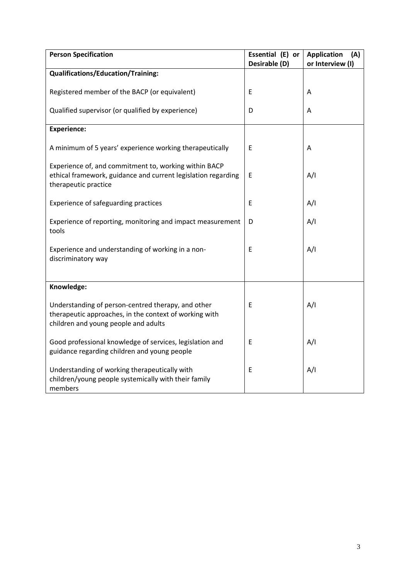| <b>Person Specification</b>                                                                                                                          | Essential (E) or | <b>Application</b><br>(A) |
|------------------------------------------------------------------------------------------------------------------------------------------------------|------------------|---------------------------|
|                                                                                                                                                      | Desirable (D)    | or Interview (I)          |
| <b>Qualifications/Education/Training:</b>                                                                                                            |                  |                           |
| Registered member of the BACP (or equivalent)                                                                                                        | E                | A                         |
| Qualified supervisor (or qualified by experience)                                                                                                    | D                | A                         |
| <b>Experience:</b>                                                                                                                                   |                  |                           |
| A minimum of 5 years' experience working therapeutically                                                                                             | E                | Α                         |
| Experience of, and commitment to, working within BACP<br>ethical framework, guidance and current legislation regarding<br>therapeutic practice       | E                | A/I                       |
| Experience of safeguarding practices                                                                                                                 | E                | A/I                       |
| Experience of reporting, monitoring and impact measurement<br>tools                                                                                  | D                | A/I                       |
| Experience and understanding of working in a non-<br>discriminatory way                                                                              | $\mathsf E$      | A/I                       |
|                                                                                                                                                      |                  |                           |
| Knowledge:                                                                                                                                           |                  |                           |
| Understanding of person-centred therapy, and other<br>therapeutic approaches, in the context of working with<br>children and young people and adults | $\mathsf E$      | A/I                       |
| Good professional knowledge of services, legislation and<br>guidance regarding children and young people                                             | E                | A/I                       |
| Understanding of working therapeutically with<br>children/young people systemically with their family<br>members                                     | E                | A/I                       |